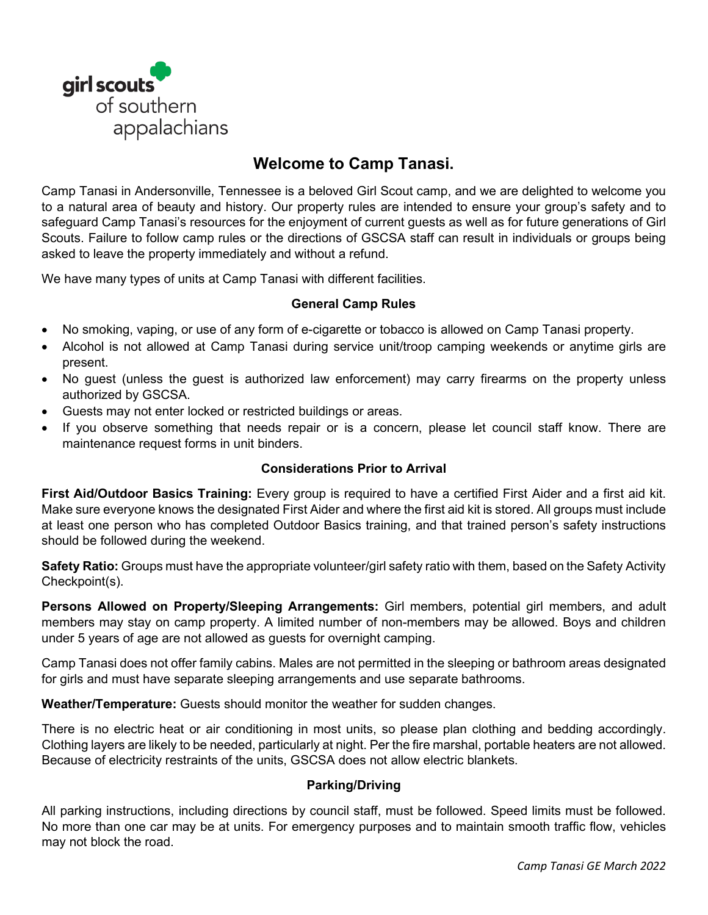

# **Welcome to Camp Tanasi.**

Camp Tanasi in Andersonville, Tennessee is a beloved Girl Scout camp, and we are delighted to welcome you to a natural area of beauty and history. Our property rules are intended to ensure your group's safety and to safeguard Camp Tanasi's resources for the enjoyment of current guests as well as for future generations of Girl Scouts. Failure to follow camp rules or the directions of GSCSA staff can result in individuals or groups being asked to leave the property immediately and without a refund.

We have many types of units at Camp Tanasi with different facilities.

## **General Camp Rules**

- No smoking, vaping, or use of any form of e-cigarette or tobacco is allowed on Camp Tanasi property.
- Alcohol is not allowed at Camp Tanasi during service unit/troop camping weekends or anytime girls are present.
- No guest (unless the guest is authorized law enforcement) may carry firearms on the property unless authorized by GSCSA.
- Guests may not enter locked or restricted buildings or areas.
- If you observe something that needs repair or is a concern, please let council staff know. There are maintenance request forms in unit binders.

# **Considerations Prior to Arrival**

**First Aid/Outdoor Basics Training:** Every group is required to have a certified First Aider and a first aid kit. Make sure everyone knows the designated First Aider and where the first aid kit is stored. All groups must include at least one person who has completed Outdoor Basics training, and that trained person's safety instructions should be followed during the weekend.

**Safety Ratio:** Groups must have the appropriate volunteer/girl safety ratio with them, based on the Safety Activity Checkpoint(s).

**Persons Allowed on Property/Sleeping Arrangements:** Girl members, potential girl members, and adult members may stay on camp property. A limited number of non-members may be allowed. Boys and children under 5 years of age are not allowed as guests for overnight camping.

Camp Tanasi does not offer family cabins. Males are not permitted in the sleeping or bathroom areas designated for girls and must have separate sleeping arrangements and use separate bathrooms.

**Weather/Temperature:** Guests should monitor the weather for sudden changes.

There is no electric heat or air conditioning in most units, so please plan clothing and bedding accordingly. Clothing layers are likely to be needed, particularly at night. Per the fire marshal, portable heaters are not allowed. Because of electricity restraints of the units, GSCSA does not allow electric blankets.

# **Parking/Driving**

All parking instructions, including directions by council staff, must be followed. Speed limits must be followed. No more than one car may be at units. For emergency purposes and to maintain smooth traffic flow, vehicles may not block the road.